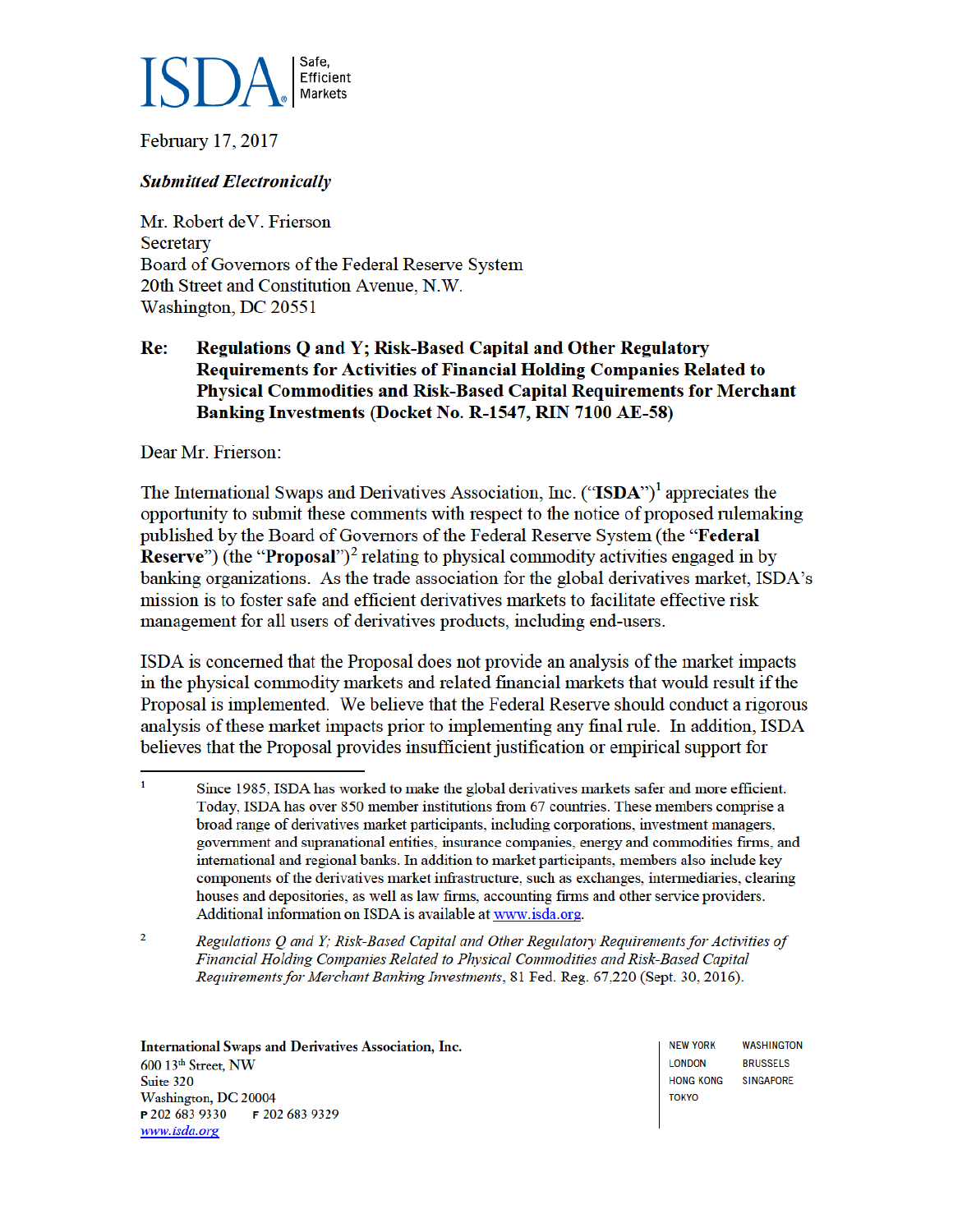

February 17, 2017

#### **Submitted Electronically**

Mr. Robert deV. Frierson Secretary Board of Governors of the Federal Reserve System 20th Street and Constitution Avenue, N.W. Washington, DC 20551

#### Re: Regulations Q and Y; Risk-Based Capital and Other Regulatory Requirements for Activities of Financial Holding Companies Related to Physical Commodities and Risk-Based Capital Requirements for Merchant Banking Investments (Docket No. R-1547, RIN 7100 AE-58)

Dear Mr. Frierson:

The International Swaps and Derivatives Association, Inc. ("ISDA")<sup>1</sup> appreciates the opportunity to submit these comments with respect to the notice of proposed rulemaking published by the Board of Governors of the Federal Reserve System (the "Federal **Reserve**") (the "**Proposal**")<sup>2</sup> relating to physical commodity activities engaged in by banking organizations. As the trade association for the global derivatives market, ISDA's mission is to foster safe and efficient derivatives markets to facilitate effective risk management for all users of derivatives products, including end-users.

ISDA is concerned that the Proposal does not provide an analysis of the market impacts in the physical commodity markets and related financial markets that would result if the Proposal is implemented. We believe that the Federal Reserve should conduct a rigorous analysis of these market impacts prior to implementing any final rule. In addition, ISDA believes that the Proposal provides insufficient justification or empirical support for

International Swaps and Derivatives Association, Inc. 600 13<sup>th</sup> Street, NW Suite 320 Washington, DC 20004 P 202 683 9330 F 202 683 9329 www.isda.org

**WASHINGTON NEW YORK LONDON RRUSSELS SINGAPORE HONG KONG TOKYO** 

 $\mathbf{1}$ Since 1985, ISDA has worked to make the global derivatives markets safer and more efficient. Today, ISDA has over 850 member institutions from 67 countries. These members comprise a broad range of derivatives market participants, including corporations, investment managers, government and supranational entities, insurance companies, energy and commodities firms, and international and regional banks. In addition to market participants, members also include key components of the derivatives market infrastructure, such as exchanges, intermediaries, clearing houses and depositories, as well as law firms, accounting firms and other service providers. Additional information on ISDA is available at www.isda.org.

 $\overline{2}$ Regulations O and Y; Risk-Based Capital and Other Regulatory Requirements for Activities of Financial Holding Companies Related to Physical Commodities and Risk-Based Capital Requirements for Merchant Banking Investments, 81 Fed. Reg. 67,220 (Sept. 30, 2016).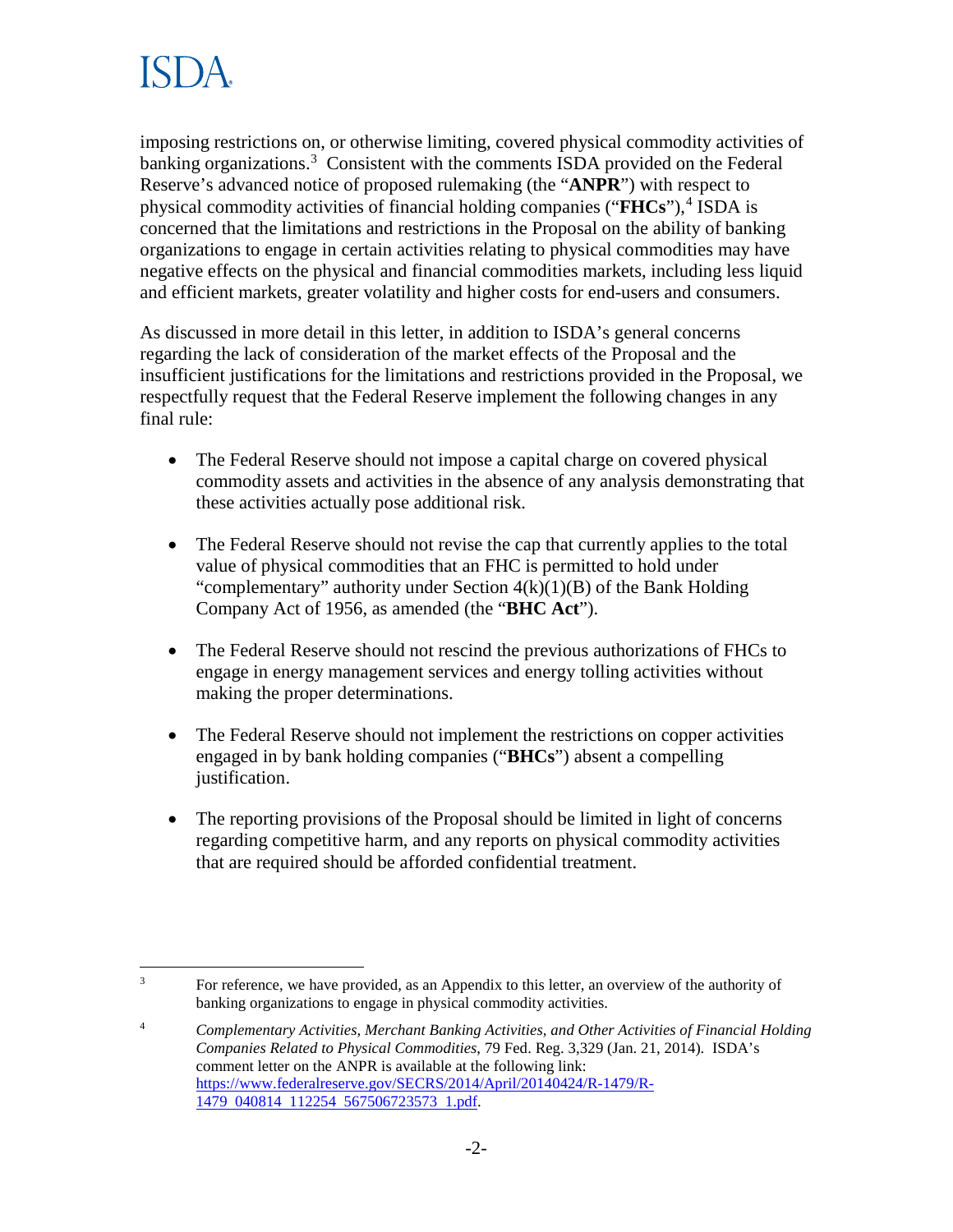

imposing restrictions on, or otherwise limiting, covered physical commodity activities of banking organizations.<sup>3</sup> Consistent with the comments ISDA provided on the Federal Reserve's advanced notice of proposed rulemaking (the "**ANPR**") with respect to physical commodity activities of financial holding companies ("**FHCs**"),<sup>4</sup> ISDA is concerned that the limitations and restrictions in the Proposal on the ability of banking organizations to engage in certain activities relating to physical commodities may have negative effects on the physical and financial commodities markets, including less liquid and efficient markets, greater volatility and higher costs for end-users and consumers.

As discussed in more detail in this letter, in addition to ISDA's general concerns regarding the lack of consideration of the market effects of the Proposal and the insufficient justifications for the limitations and restrictions provided in the Proposal, we respectfully request that the Federal Reserve implement the following changes in any final rule:

- The Federal Reserve should not impose a capital charge on covered physical commodity assets and activities in the absence of any analysis demonstrating that these activities actually pose additional risk.
- The Federal Reserve should not revise the cap that currently applies to the total value of physical commodities that an FHC is permitted to hold under "complementary" authority under Section  $4(k)(1)(B)$  of the Bank Holding Company Act of 1956, as amended (the "**BHC Act**").
- The Federal Reserve should not rescind the previous authorizations of FHCs to engage in energy management services and energy tolling activities without making the proper determinations.
- The Federal Reserve should not implement the restrictions on copper activities engaged in by bank holding companies ("**BHCs**") absent a compelling justification.
- The reporting provisions of the Proposal should be limited in light of concerns regarding competitive harm, and any reports on physical commodity activities that are required should be afforded confidential treatment.

 $\overline{a}$ 3 For reference, we have provided, as an Appendix to this letter, an overview of the authority of banking organizations to engage in physical commodity activities.

<sup>4</sup> *Complementary Activities, Merchant Banking Activities, and Other Activities of Financial Holding Companies Related to Physical Commodities*, 79 Fed. Reg. 3,329 (Jan. 21, 2014). ISDA's comment letter on the ANPR is available at the following link: https://www.federalreserve.gov/SECRS/2014/April/20140424/R-1479/R-1479 040814 112254 567506723573 1.pdf.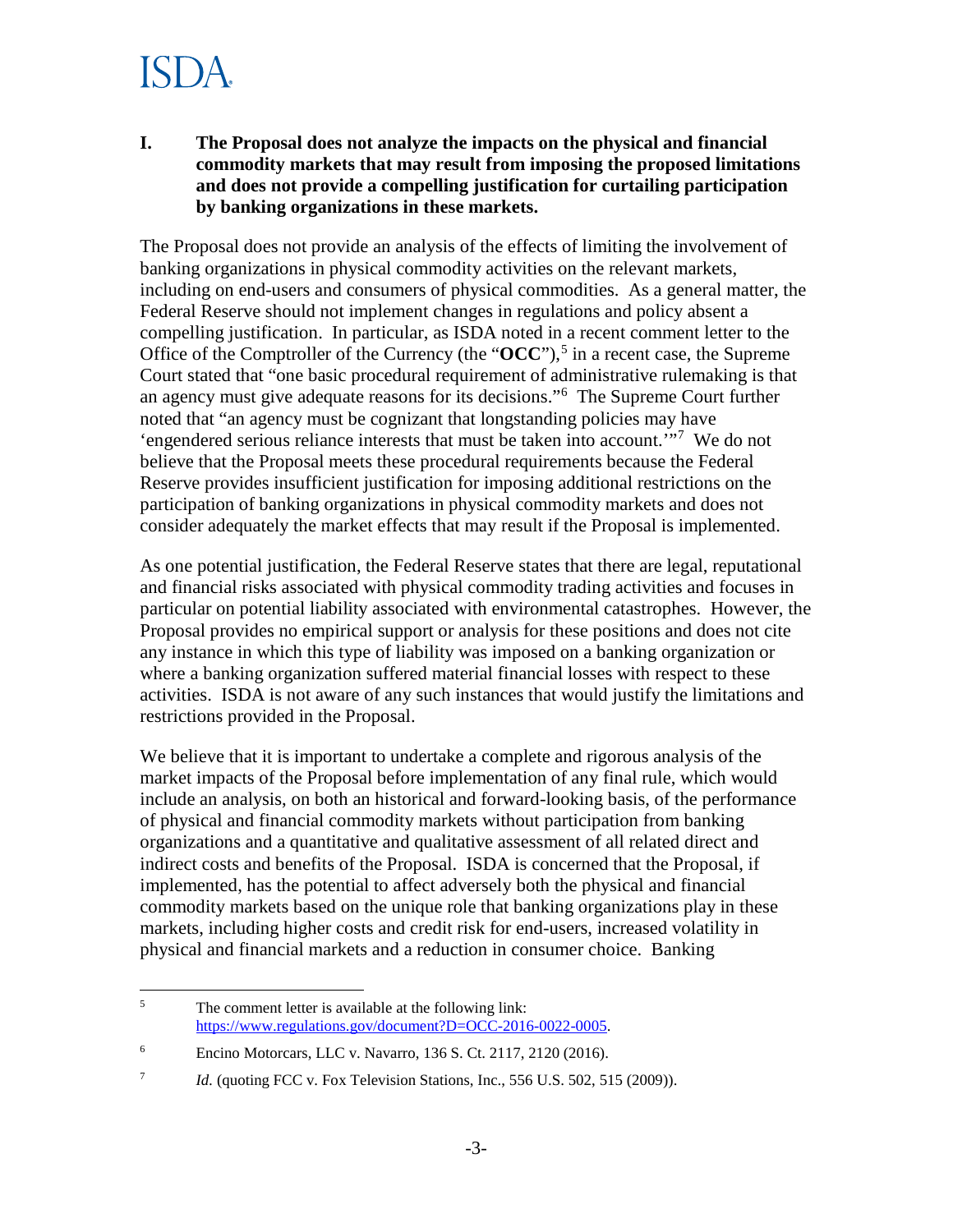### ISI YA

**I. The Proposal does not analyze the impacts on the physical and financial commodity markets that may result from imposing the proposed limitations and does not provide a compelling justification for curtailing participation by banking organizations in these markets.**

The Proposal does not provide an analysis of the effects of limiting the involvement of banking organizations in physical commodity activities on the relevant markets, including on end-users and consumers of physical commodities. As a general matter, the Federal Reserve should not implement changes in regulations and policy absent a compelling justification. In particular, as ISDA noted in a recent comment letter to the Office of the Comptroller of the Currency (the " $\text{OCC}$ "),<sup>5</sup> in a recent case, the Supreme Court stated that "one basic procedural requirement of administrative rulemaking is that an agency must give adequate reasons for its decisions."<sup>6</sup> The Supreme Court further noted that "an agency must be cognizant that longstanding policies may have 'engendered serious reliance interests that must be taken into account.'"<sup>7</sup> We do not believe that the Proposal meets these procedural requirements because the Federal Reserve provides insufficient justification for imposing additional restrictions on the participation of banking organizations in physical commodity markets and does not consider adequately the market effects that may result if the Proposal is implemented.

As one potential justification, the Federal Reserve states that there are legal, reputational and financial risks associated with physical commodity trading activities and focuses in particular on potential liability associated with environmental catastrophes. However, the Proposal provides no empirical support or analysis for these positions and does not cite any instance in which this type of liability was imposed on a banking organization or where a banking organization suffered material financial losses with respect to these activities. ISDA is not aware of any such instances that would justify the limitations and restrictions provided in the Proposal.

We believe that it is important to undertake a complete and rigorous analysis of the market impacts of the Proposal before implementation of any final rule, which would include an analysis, on both an historical and forward-looking basis, of the performance of physical and financial commodity markets without participation from banking organizations and a quantitative and qualitative assessment of all related direct and indirect costs and benefits of the Proposal. ISDA is concerned that the Proposal, if implemented, has the potential to affect adversely both the physical and financial commodity markets based on the unique role that banking organizations play in these markets, including higher costs and credit risk for end-users, increased volatility in physical and financial markets and a reduction in consumer choice. Banking

 $\overline{a}$ 5 The comment letter is available at the following link: https://www.regulations.gov/document?D=OCC-2016-0022-0005.

<sup>6</sup> Encino Motorcars, LLC v. Navarro, 136 S. Ct. 2117, 2120 (2016).

<sup>7</sup> *Id.* (quoting FCC v. Fox Television Stations, Inc., 556 U.S. 502, 515 (2009)).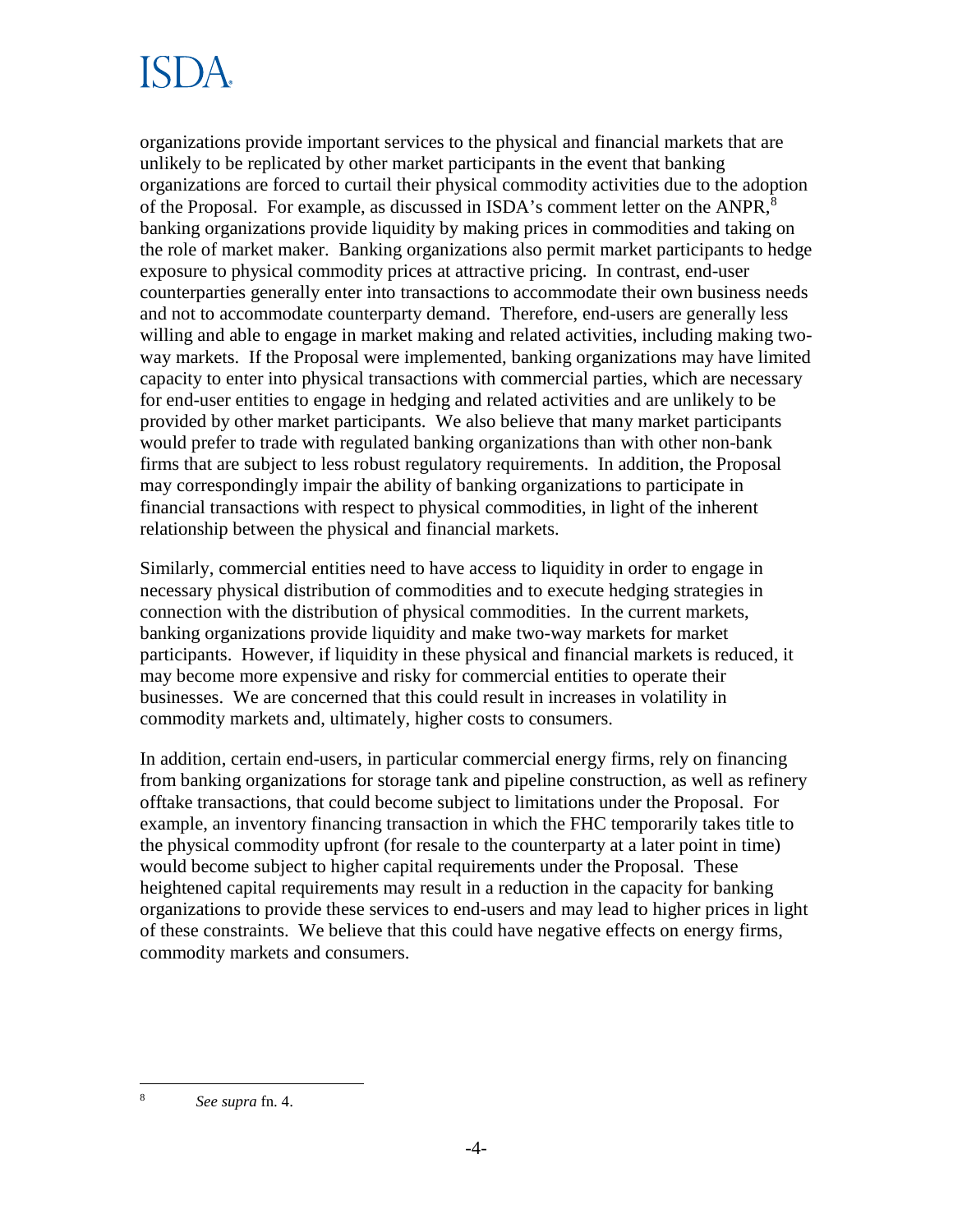# ISDA

organizations provide important services to the physical and financial markets that are unlikely to be replicated by other market participants in the event that banking organizations are forced to curtail their physical commodity activities due to the adoption of the Proposal. For example, as discussed in ISDA's comment letter on the ANPR,<sup>8</sup> banking organizations provide liquidity by making prices in commodities and taking on the role of market maker. Banking organizations also permit market participants to hedge exposure to physical commodity prices at attractive pricing. In contrast, end-user counterparties generally enter into transactions to accommodate their own business needs and not to accommodate counterparty demand. Therefore, end-users are generally less willing and able to engage in market making and related activities, including making twoway markets. If the Proposal were implemented, banking organizations may have limited capacity to enter into physical transactions with commercial parties, which are necessary for end-user entities to engage in hedging and related activities and are unlikely to be provided by other market participants. We also believe that many market participants would prefer to trade with regulated banking organizations than with other non-bank firms that are subject to less robust regulatory requirements. In addition, the Proposal may correspondingly impair the ability of banking organizations to participate in financial transactions with respect to physical commodities, in light of the inherent relationship between the physical and financial markets.

Similarly, commercial entities need to have access to liquidity in order to engage in necessary physical distribution of commodities and to execute hedging strategies in connection with the distribution of physical commodities. In the current markets, banking organizations provide liquidity and make two-way markets for market participants. However, if liquidity in these physical and financial markets is reduced, it may become more expensive and risky for commercial entities to operate their businesses. We are concerned that this could result in increases in volatility in commodity markets and, ultimately, higher costs to consumers.

In addition, certain end-users, in particular commercial energy firms, rely on financing from banking organizations for storage tank and pipeline construction, as well as refinery offtake transactions, that could become subject to limitations under the Proposal. For example, an inventory financing transaction in which the FHC temporarily takes title to the physical commodity upfront (for resale to the counterparty at a later point in time) would become subject to higher capital requirements under the Proposal. These heightened capital requirements may result in a reduction in the capacity for banking organizations to provide these services to end-users and may lead to higher prices in light of these constraints. We believe that this could have negative effects on energy firms, commodity markets and consumers.

 $\overline{a}$ 8 *See supra* fn. 4.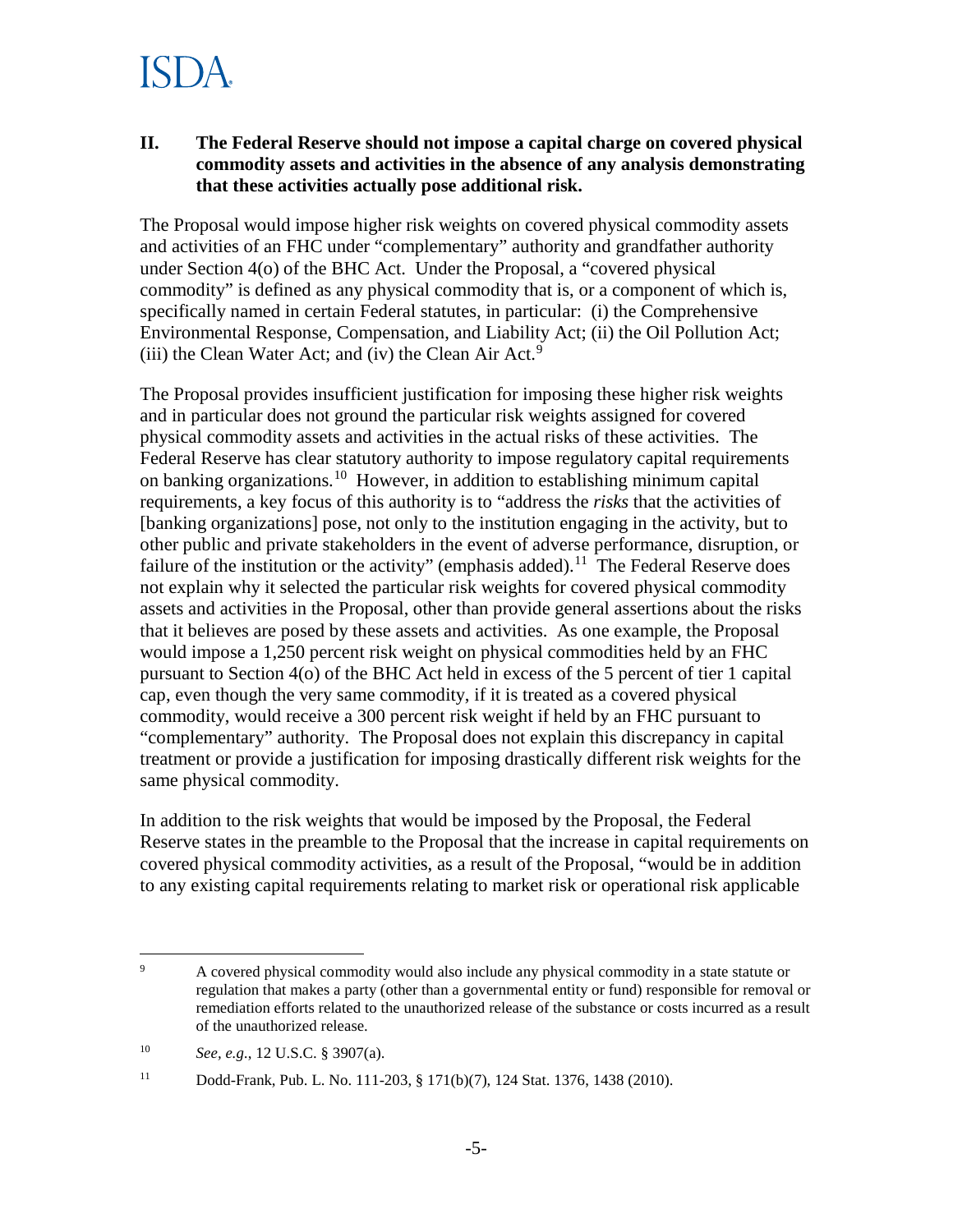#### **II. The Federal Reserve should not impose a capital charge on covered physical commodity assets and activities in the absence of any analysis demonstrating that these activities actually pose additional risk.**

The Proposal would impose higher risk weights on covered physical commodity assets and activities of an FHC under "complementary" authority and grandfather authority under Section 4(o) of the BHC Act. Under the Proposal, a "covered physical commodity" is defined as any physical commodity that is, or a component of which is, specifically named in certain Federal statutes, in particular: (i) the Comprehensive Environmental Response, Compensation, and Liability Act; (ii) the Oil Pollution Act; (iii) the Clean Water Act; and (iv) the Clean Air Act. $9$ 

The Proposal provides insufficient justification for imposing these higher risk weights and in particular does not ground the particular risk weights assigned for covered physical commodity assets and activities in the actual risks of these activities. The Federal Reserve has clear statutory authority to impose regulatory capital requirements on banking organizations.<sup>10</sup> However, in addition to establishing minimum capital requirements, a key focus of this authority is to "address the *risks* that the activities of [banking organizations] pose, not only to the institution engaging in the activity, but to other public and private stakeholders in the event of adverse performance, disruption, or failure of the institution or the activity" (emphasis added).<sup>11</sup> The Federal Reserve does not explain why it selected the particular risk weights for covered physical commodity assets and activities in the Proposal, other than provide general assertions about the risks that it believes are posed by these assets and activities. As one example, the Proposal would impose a 1,250 percent risk weight on physical commodities held by an FHC pursuant to Section 4(o) of the BHC Act held in excess of the 5 percent of tier 1 capital cap, even though the very same commodity, if it is treated as a covered physical commodity, would receive a 300 percent risk weight if held by an FHC pursuant to "complementary" authority. The Proposal does not explain this discrepancy in capital treatment or provide a justification for imposing drastically different risk weights for the same physical commodity.

In addition to the risk weights that would be imposed by the Proposal, the Federal Reserve states in the preamble to the Proposal that the increase in capital requirements on covered physical commodity activities, as a result of the Proposal, "would be in addition to any existing capital requirements relating to market risk or operational risk applicable

<sup>-&</sup>lt;br>9 A covered physical commodity would also include any physical commodity in a state statute or regulation that makes a party (other than a governmental entity or fund) responsible for removal or remediation efforts related to the unauthorized release of the substance or costs incurred as a result of the unauthorized release.

<sup>10</sup> *See, e.g.*, 12 U.S.C. § 3907(a).

<sup>11</sup> Dodd-Frank, Pub. L. No. 111-203, § 171(b)(7), 124 Stat. 1376, 1438 (2010).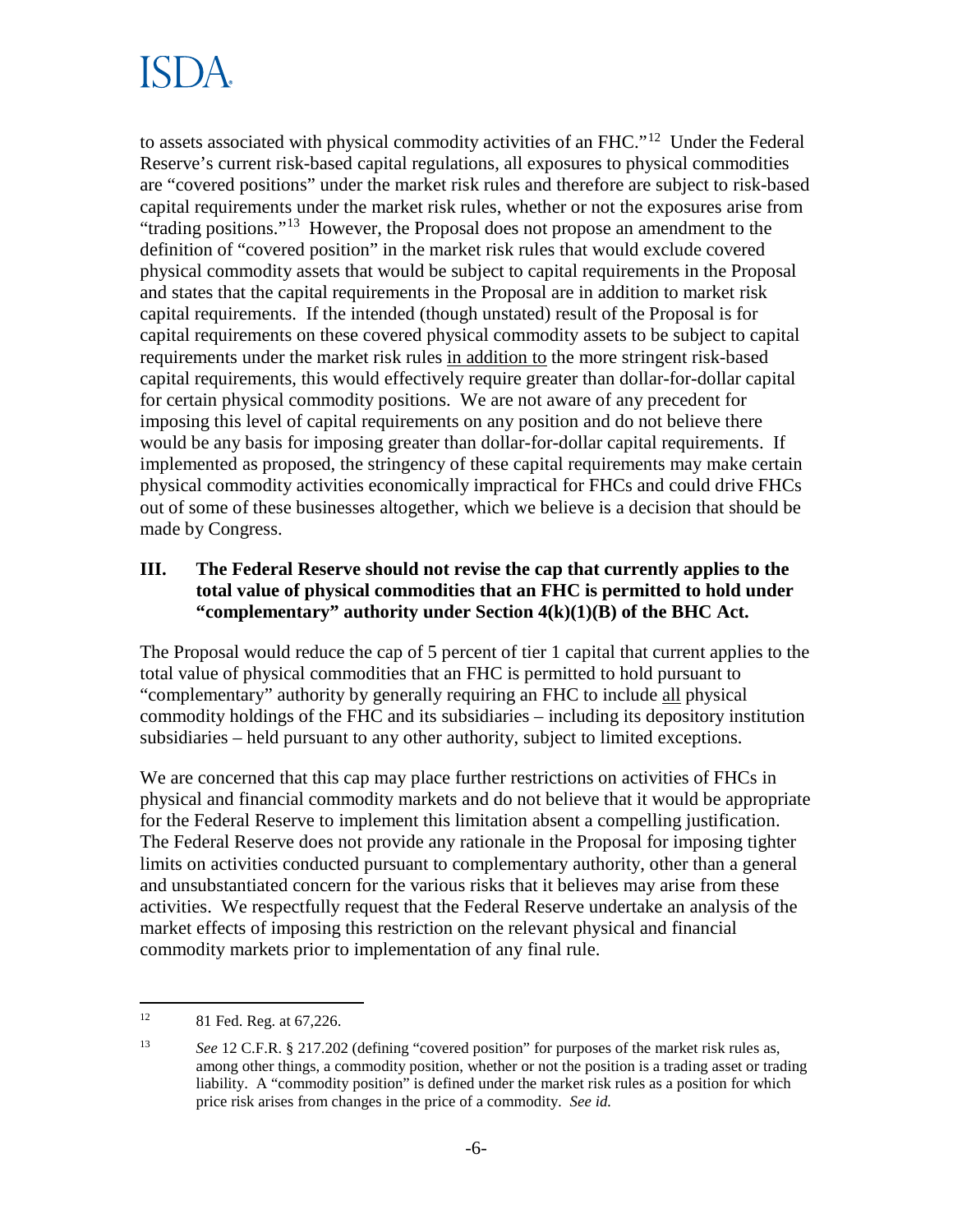## ISI )A

to assets associated with physical commodity activities of an FHC."12 Under the Federal Reserve's current risk-based capital regulations, all exposures to physical commodities are "covered positions" under the market risk rules and therefore are subject to risk-based capital requirements under the market risk rules, whether or not the exposures arise from "trading positions."<sup>13</sup> However, the Proposal does not propose an amendment to the definition of "covered position" in the market risk rules that would exclude covered physical commodity assets that would be subject to capital requirements in the Proposal and states that the capital requirements in the Proposal are in addition to market risk capital requirements. If the intended (though unstated) result of the Proposal is for capital requirements on these covered physical commodity assets to be subject to capital requirements under the market risk rules in addition to the more stringent risk-based capital requirements, this would effectively require greater than dollar-for-dollar capital for certain physical commodity positions. We are not aware of any precedent for imposing this level of capital requirements on any position and do not believe there would be any basis for imposing greater than dollar-for-dollar capital requirements. If implemented as proposed, the stringency of these capital requirements may make certain physical commodity activities economically impractical for FHCs and could drive FHCs out of some of these businesses altogether, which we believe is a decision that should be made by Congress.

### **III. The Federal Reserve should not revise the cap that currently applies to the total value of physical commodities that an FHC is permitted to hold under "complementary" authority under Section 4(k)(1)(B) of the BHC Act.**

The Proposal would reduce the cap of 5 percent of tier 1 capital that current applies to the total value of physical commodities that an FHC is permitted to hold pursuant to "complementary" authority by generally requiring an FHC to include all physical commodity holdings of the FHC and its subsidiaries – including its depository institution subsidiaries – held pursuant to any other authority, subject to limited exceptions.

We are concerned that this cap may place further restrictions on activities of FHCs in physical and financial commodity markets and do not believe that it would be appropriate for the Federal Reserve to implement this limitation absent a compelling justification. The Federal Reserve does not provide any rationale in the Proposal for imposing tighter limits on activities conducted pursuant to complementary authority, other than a general and unsubstantiated concern for the various risks that it believes may arise from these activities. We respectfully request that the Federal Reserve undertake an analysis of the market effects of imposing this restriction on the relevant physical and financial commodity markets prior to implementation of any final rule.

 $12\,$ 81 Fed. Reg. at 67,226.

<sup>13</sup> *See* 12 C.F.R. § 217.202 (defining "covered position" for purposes of the market risk rules as, among other things, a commodity position, whether or not the position is a trading asset or trading liability. A "commodity position" is defined under the market risk rules as a position for which price risk arises from changes in the price of a commodity. *See id.*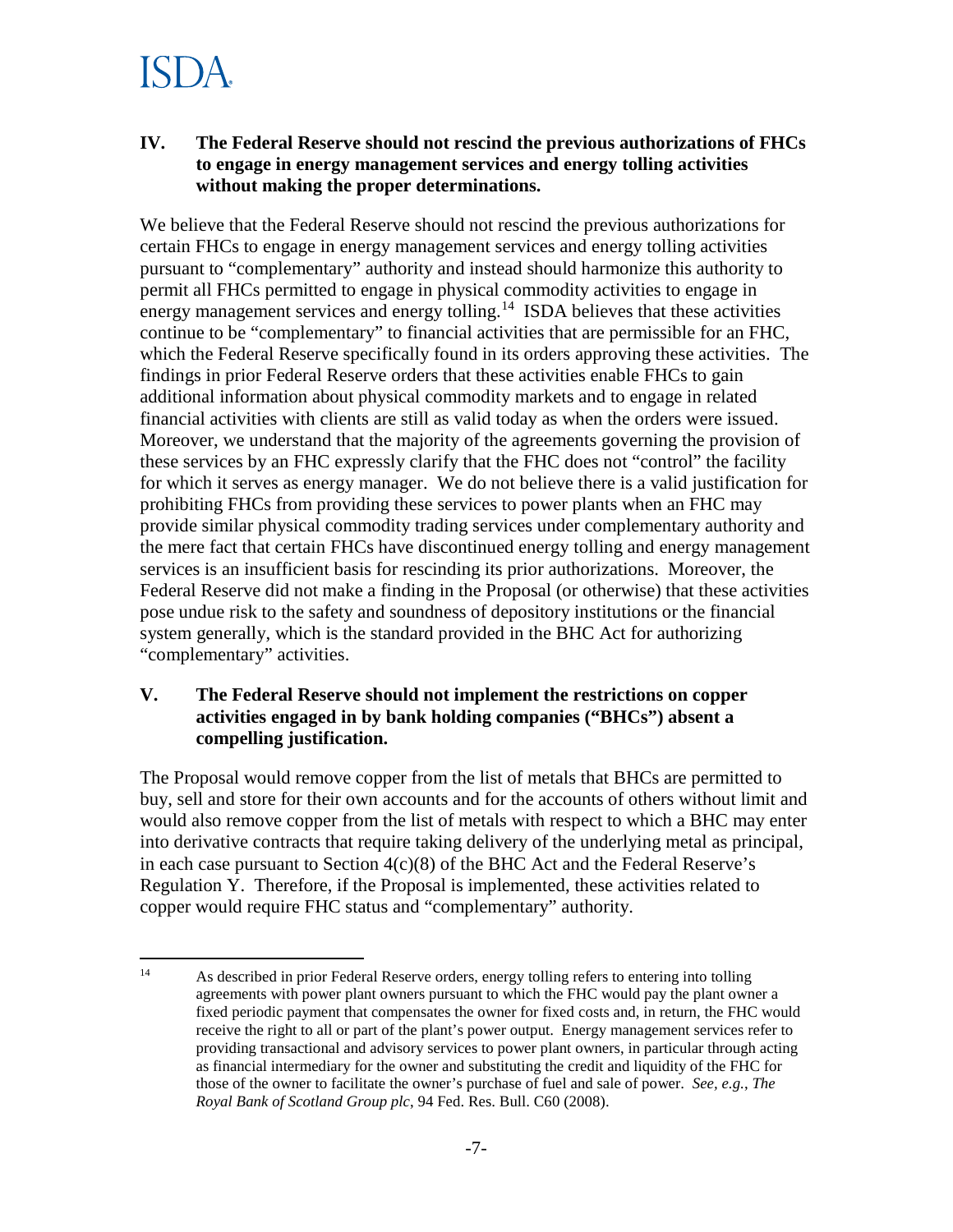### ISI YA

#### **IV. The Federal Reserve should not rescind the previous authorizations of FHCs to engage in energy management services and energy tolling activities without making the proper determinations.**

We believe that the Federal Reserve should not rescind the previous authorizations for certain FHCs to engage in energy management services and energy tolling activities pursuant to "complementary" authority and instead should harmonize this authority to permit all FHCs permitted to engage in physical commodity activities to engage in energy management services and energy tolling.<sup>14</sup> ISDA believes that these activities continue to be "complementary" to financial activities that are permissible for an FHC, which the Federal Reserve specifically found in its orders approving these activities. The findings in prior Federal Reserve orders that these activities enable FHCs to gain additional information about physical commodity markets and to engage in related financial activities with clients are still as valid today as when the orders were issued. Moreover, we understand that the majority of the agreements governing the provision of these services by an FHC expressly clarify that the FHC does not "control" the facility for which it serves as energy manager. We do not believe there is a valid justification for prohibiting FHCs from providing these services to power plants when an FHC may provide similar physical commodity trading services under complementary authority and the mere fact that certain FHCs have discontinued energy tolling and energy management services is an insufficient basis for rescinding its prior authorizations. Moreover, the Federal Reserve did not make a finding in the Proposal (or otherwise) that these activities pose undue risk to the safety and soundness of depository institutions or the financial system generally, which is the standard provided in the BHC Act for authorizing "complementary" activities.

#### **V. The Federal Reserve should not implement the restrictions on copper activities engaged in by bank holding companies ("BHCs") absent a compelling justification.**

The Proposal would remove copper from the list of metals that BHCs are permitted to buy, sell and store for their own accounts and for the accounts of others without limit and would also remove copper from the list of metals with respect to which a BHC may enter into derivative contracts that require taking delivery of the underlying metal as principal, in each case pursuant to Section 4(c)(8) of the BHC Act and the Federal Reserve's Regulation Y. Therefore, if the Proposal is implemented, these activities related to copper would require FHC status and "complementary" authority.

 $14$ As described in prior Federal Reserve orders, energy tolling refers to entering into tolling agreements with power plant owners pursuant to which the FHC would pay the plant owner a fixed periodic payment that compensates the owner for fixed costs and, in return, the FHC would receive the right to all or part of the plant's power output. Energy management services refer to providing transactional and advisory services to power plant owners, in particular through acting as financial intermediary for the owner and substituting the credit and liquidity of the FHC for those of the owner to facilitate the owner's purchase of fuel and sale of power. *See, e.g.*, *The Royal Bank of Scotland Group plc*, 94 Fed. Res. Bull. C60 (2008).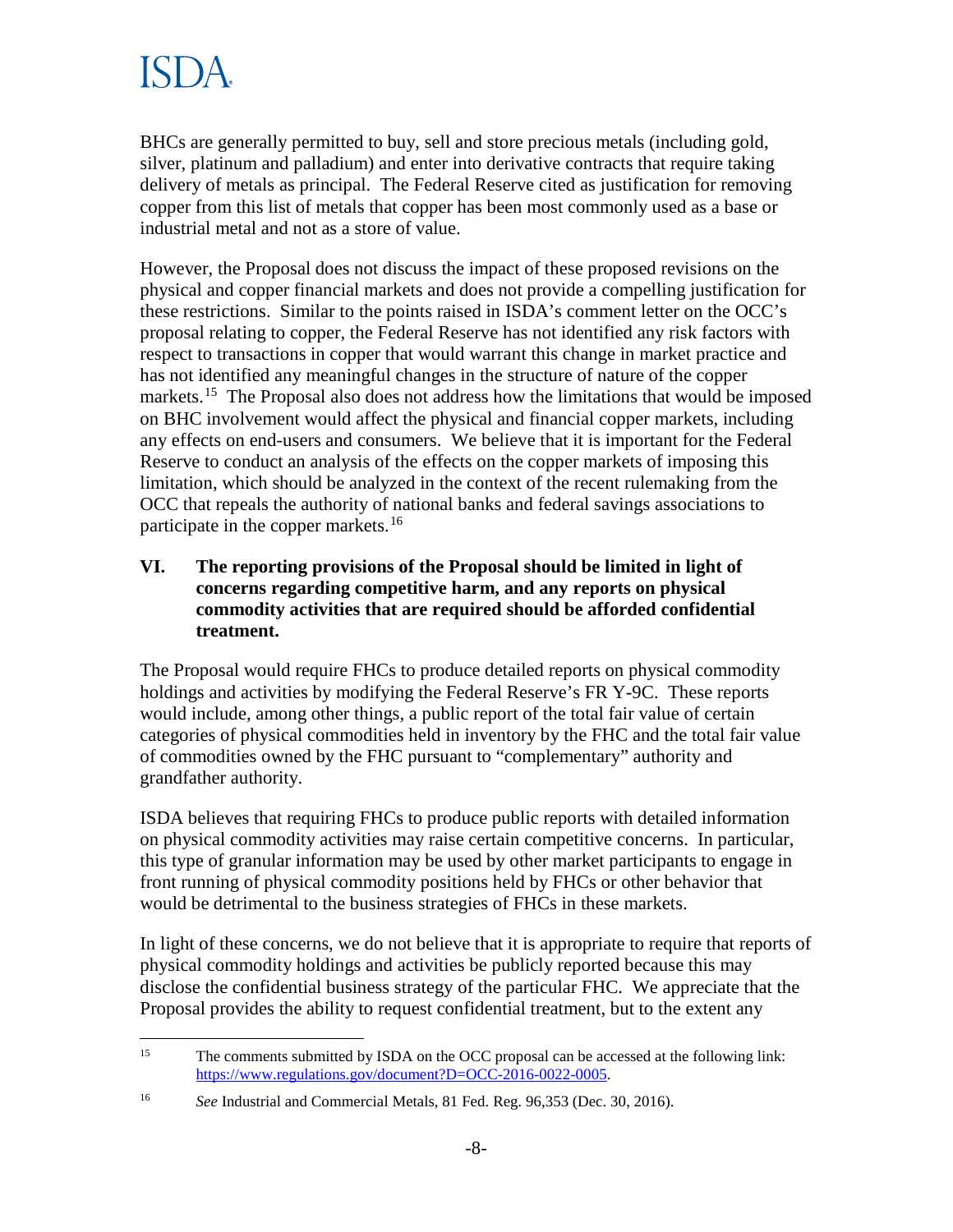## ISDA

BHCs are generally permitted to buy, sell and store precious metals (including gold, silver, platinum and palladium) and enter into derivative contracts that require taking delivery of metals as principal. The Federal Reserve cited as justification for removing copper from this list of metals that copper has been most commonly used as a base or industrial metal and not as a store of value.

However, the Proposal does not discuss the impact of these proposed revisions on the physical and copper financial markets and does not provide a compelling justification for these restrictions. Similar to the points raised in ISDA's comment letter on the OCC's proposal relating to copper, the Federal Reserve has not identified any risk factors with respect to transactions in copper that would warrant this change in market practice and has not identified any meaningful changes in the structure of nature of the copper markets.<sup>15</sup> The Proposal also does not address how the limitations that would be imposed on BHC involvement would affect the physical and financial copper markets, including any effects on end-users and consumers. We believe that it is important for the Federal Reserve to conduct an analysis of the effects on the copper markets of imposing this limitation, which should be analyzed in the context of the recent rulemaking from the OCC that repeals the authority of national banks and federal savings associations to participate in the copper markets.<sup>16</sup>

#### **VI. The reporting provisions of the Proposal should be limited in light of concerns regarding competitive harm, and any reports on physical commodity activities that are required should be afforded confidential treatment.**

The Proposal would require FHCs to produce detailed reports on physical commodity holdings and activities by modifying the Federal Reserve's FR Y-9C. These reports would include, among other things, a public report of the total fair value of certain categories of physical commodities held in inventory by the FHC and the total fair value of commodities owned by the FHC pursuant to "complementary" authority and grandfather authority.

ISDA believes that requiring FHCs to produce public reports with detailed information on physical commodity activities may raise certain competitive concerns. In particular, this type of granular information may be used by other market participants to engage in front running of physical commodity positions held by FHCs or other behavior that would be detrimental to the business strategies of FHCs in these markets.

In light of these concerns, we do not believe that it is appropriate to require that reports of physical commodity holdings and activities be publicly reported because this may disclose the confidential business strategy of the particular FHC. We appreciate that the Proposal provides the ability to request confidential treatment, but to the extent any

 $15<sup>15</sup>$ The comments submitted by ISDA on the OCC proposal can be accessed at the following link: https://www.regulations.gov/document?D=OCC-2016-0022-0005.

<sup>16</sup> *See* Industrial and Commercial Metals, 81 Fed. Reg. 96,353 (Dec. 30, 2016).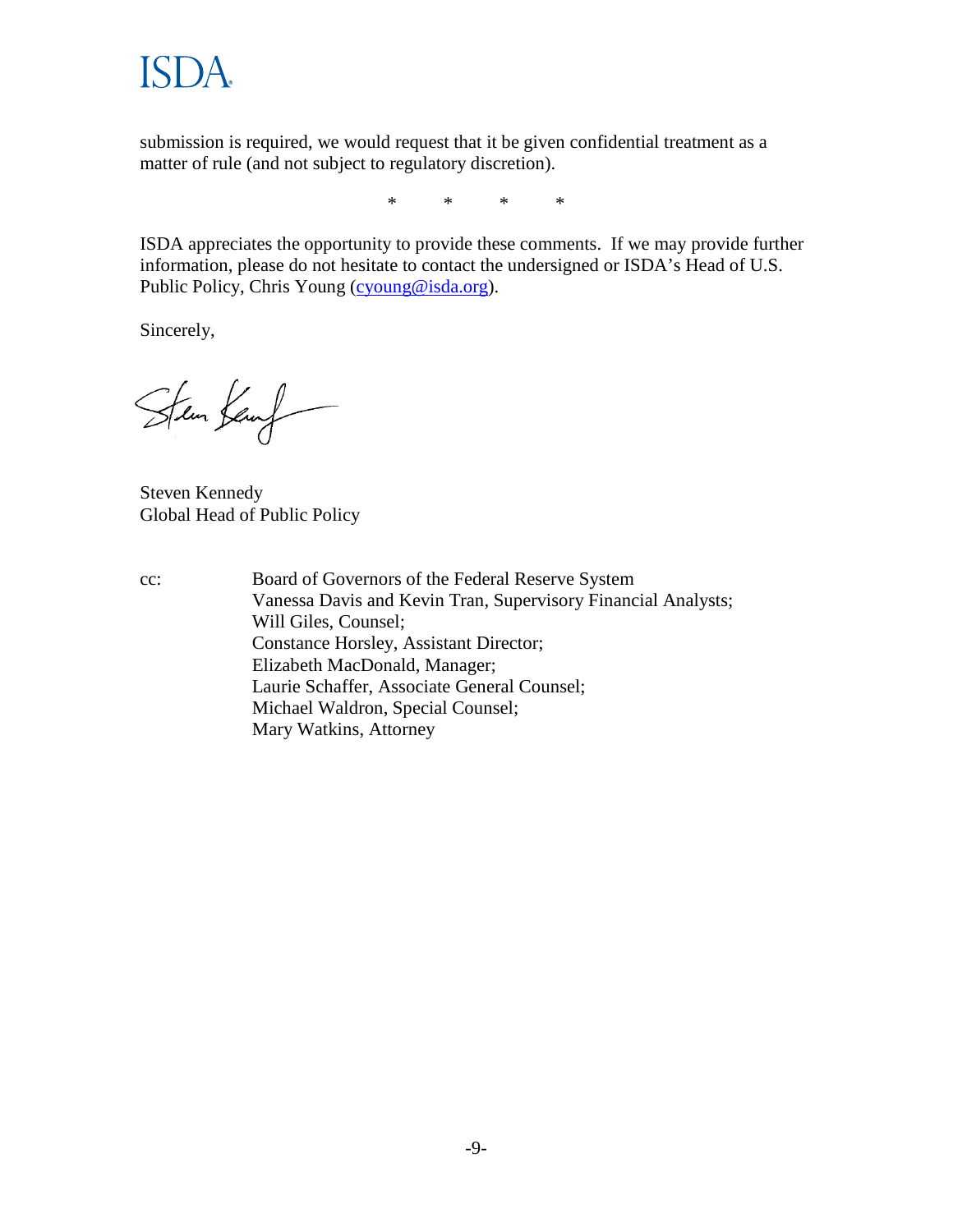**ISDA** 

submission is required, we would request that it be given confidential treatment as a matter of rule (and not subject to regulatory discretion).

\* \* \* \*

ISDA appreciates the opportunity to provide these comments. If we may provide further information, please do not hesitate to contact the undersigned or ISDA's Head of U.S. Public Policy, Chris Young (cyoung@isda.org).

Sincerely,

Sten Kenf

Steven Kennedy Global Head of Public Policy

cc: Board of Governors of the Federal Reserve System Vanessa Davis and Kevin Tran, Supervisory Financial Analysts; Will Giles, Counsel; Constance Horsley, Assistant Director; Elizabeth MacDonald, Manager; Laurie Schaffer, Associate General Counsel; Michael Waldron, Special Counsel; Mary Watkins, Attorney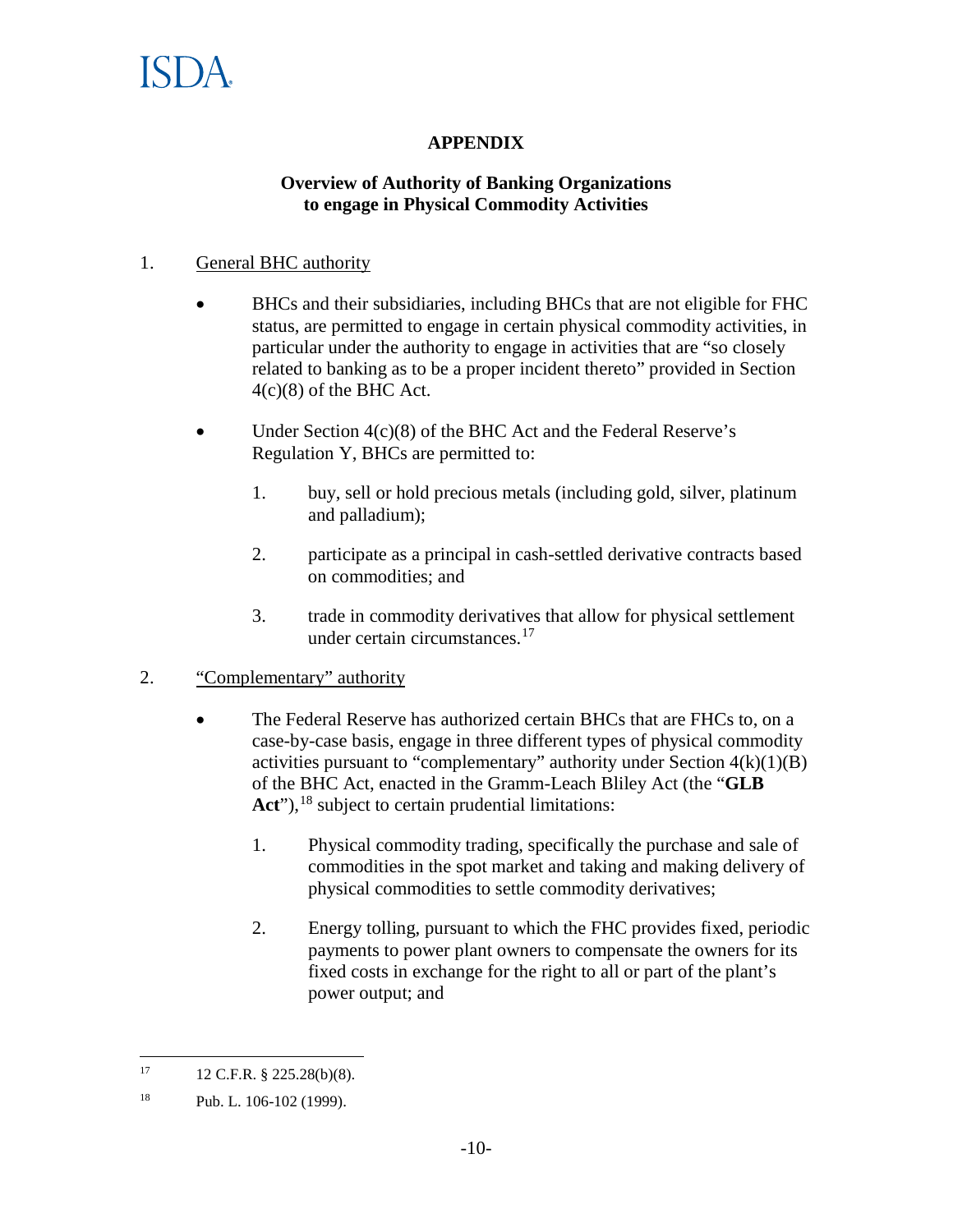

### **APPENDIX**

#### **Overview of Authority of Banking Organizations to engage in Physical Commodity Activities**

#### 1. General BHC authority

- BHCs and their subsidiaries, including BHCs that are not eligible for FHC status, are permitted to engage in certain physical commodity activities, in particular under the authority to engage in activities that are "so closely related to banking as to be a proper incident thereto" provided in Section 4(c)(8) of the BHC Act.
- Under Section 4(c)(8) of the BHC Act and the Federal Reserve's Regulation Y, BHCs are permitted to:
	- 1. buy, sell or hold precious metals (including gold, silver, platinum and palladium);
	- 2. participate as a principal in cash-settled derivative contracts based on commodities; and
	- 3. trade in commodity derivatives that allow for physical settlement under certain circumstances.<sup>17</sup>

#### 2. "Complementary" authority

- The Federal Reserve has authorized certain BHCs that are FHCs to, on a case-by-case basis, engage in three different types of physical commodity activities pursuant to "complementary" authority under Section  $4(k)(1)(B)$ of the BHC Act, enacted in the Gramm-Leach Bliley Act (the "**GLB**  Act"),<sup>18</sup> subject to certain prudential limitations:
	- 1. Physical commodity trading, specifically the purchase and sale of commodities in the spot market and taking and making delivery of physical commodities to settle commodity derivatives;
	- 2. Energy tolling, pursuant to which the FHC provides fixed, periodic payments to power plant owners to compensate the owners for its fixed costs in exchange for the right to all or part of the plant's power output; and

<sup>17</sup> <sup>17</sup> 12 C.F.R. § 225.28(b)(8).

<sup>18</sup> Pub. L. 106-102 (1999).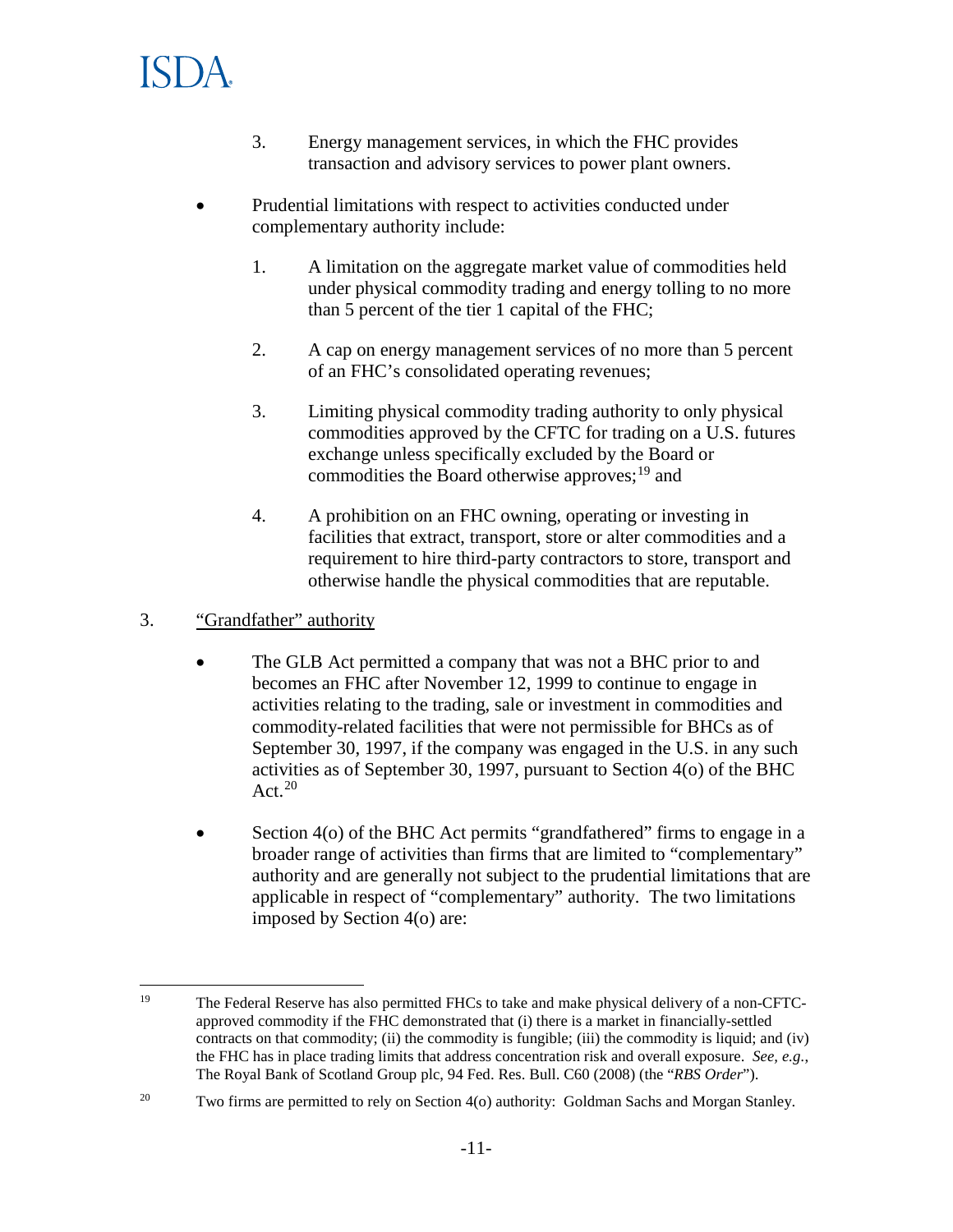

- 3. Energy management services, in which the FHC provides transaction and advisory services to power plant owners.
- Prudential limitations with respect to activities conducted under complementary authority include:
	- 1. A limitation on the aggregate market value of commodities held under physical commodity trading and energy tolling to no more than 5 percent of the tier 1 capital of the FHC;
	- 2. A cap on energy management services of no more than 5 percent of an FHC's consolidated operating revenues;
	- 3. Limiting physical commodity trading authority to only physical commodities approved by the CFTC for trading on a U.S. futures exchange unless specifically excluded by the Board or commodities the Board otherwise approves; $^{19}$  and
	- 4. A prohibition on an FHC owning, operating or investing in facilities that extract, transport, store or alter commodities and a requirement to hire third-party contractors to store, transport and otherwise handle the physical commodities that are reputable.

#### 3. "Grandfather" authority

- The GLB Act permitted a company that was not a BHC prior to and becomes an FHC after November 12, 1999 to continue to engage in activities relating to the trading, sale or investment in commodities and commodity-related facilities that were not permissible for BHCs as of September 30, 1997, if the company was engaged in the U.S. in any such activities as of September 30, 1997, pursuant to Section 4(o) of the BHC Act. $20$
- Section 4(o) of the BHC Act permits "grandfathered" firms to engage in a broader range of activities than firms that are limited to "complementary" authority and are generally not subject to the prudential limitations that are applicable in respect of "complementary" authority. The two limitations imposed by Section 4(o) are:

<sup>19</sup> <sup>19</sup> The Federal Reserve has also permitted FHCs to take and make physical delivery of a non-CFTCapproved commodity if the FHC demonstrated that (i) there is a market in financially-settled contracts on that commodity; (ii) the commodity is fungible; (iii) the commodity is liquid; and (iv) the FHC has in place trading limits that address concentration risk and overall exposure. *See, e.g.*, The Royal Bank of Scotland Group plc, 94 Fed. Res. Bull. C60 (2008) (the "*RBS Order*").

<sup>&</sup>lt;sup>20</sup> Two firms are permitted to rely on Section 4(o) authority: Goldman Sachs and Morgan Stanley.